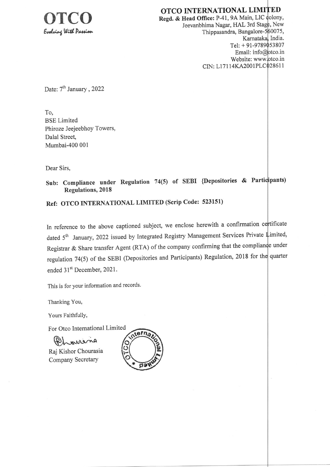

OTCO INTERNATIONAL LIMITED Regd. & Head Office: P-41, 9A Main, LIC colony, Jeevanbhima Nagar, HAL 3rd Stage, New Thippasandra, Bangalore-560075, Karnataka, India. Tel: +91-9789053807 Email: info@otco.in Website: www.otco.in CIN: L17114KA2001PLC028611

Date: 7<sup>th</sup> January, 2022

To, **BSE** Limited Phiroze Jeejeebhoy Towers, Dalal Street, Mumbai-400 001

Dear Sirs.

Sub: Compliance under Regulation 74(5) of SEBI {Depositories & Participants) **Regulations, 2018** 

Ref: OTCO INTERNATIONAL LIMITED (Scrip Code: 523151)

In reference to the above captioned subject, we enclose herewith a confirmation certificate dated 5<sup>th</sup> January, 2022 issued by Integrated Registry Management Services Private Limited, Registrar & Share transfer Agent (RTA) of the company confirming that the compliance under regulation 74(5) of the SEBI (Depositories and Participants) Regulation, 2018 for the quarter ended 31<sup>st</sup> December, 2021.

This is for your information and records.

Thanking You,

Yours Faithfully,

For Otco International Limited

Phonena Raj Kishor Chourasia

Company Secretary